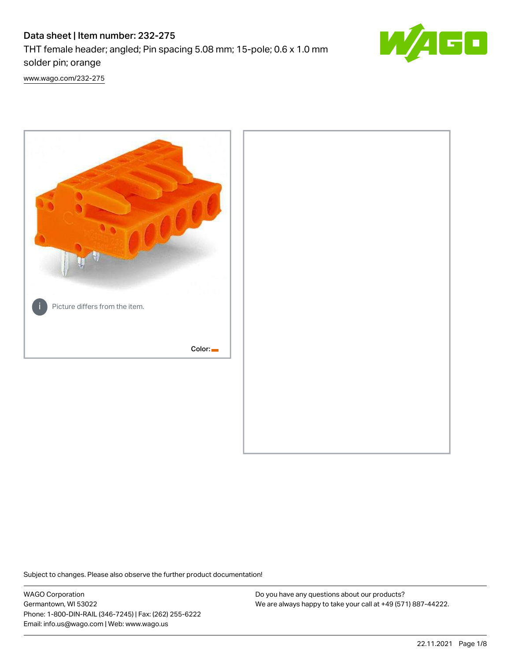# Data sheet | Item number: 232-275

THT female header; angled; Pin spacing 5.08 mm; 15-pole; 0.6 x 1.0 mm solder pin; orange



[www.wago.com/232-275](http://www.wago.com/232-275)



Subject to changes. Please also observe the further product documentation!

WAGO Corporation Germantown, WI 53022 Phone: 1-800-DIN-RAIL (346-7245) | Fax: (262) 255-6222 Email: info.us@wago.com | Web: www.wago.us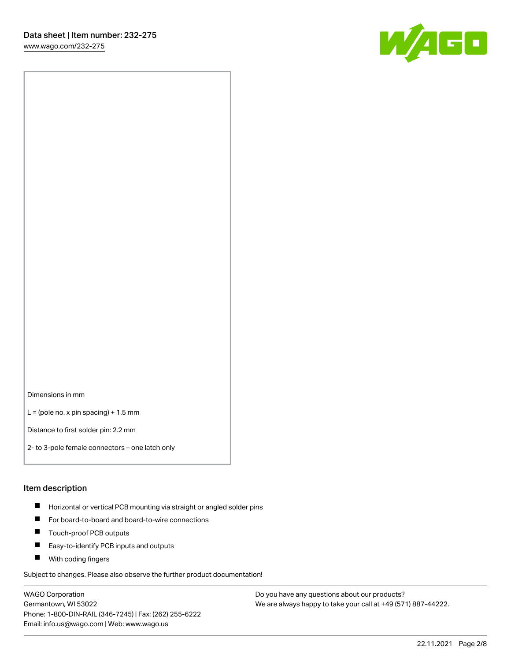[www.wago.com/232-275](http://www.wago.com/232-275)



Dimensions in mm

 $L =$  (pole no. x pin spacing) + 1.5 mm

Distance to first solder pin: 2.2 mm

2- to 3-pole female connectors – one latch only

#### Item description

- **Horizontal or vertical PCB mounting via straight or angled solder pins**
- For board-to-board and board-to-wire connections
- $\blacksquare$ Touch-proof PCB outputs
- $\blacksquare$ Easy-to-identify PCB inputs and outputs
- **Now With coding fingers**

Subject to changes. Please also observe the further product documentation!

WAGO Corporation Germantown, WI 53022 Phone: 1-800-DIN-RAIL (346-7245) | Fax: (262) 255-6222 Email: info.us@wago.com | Web: www.wago.us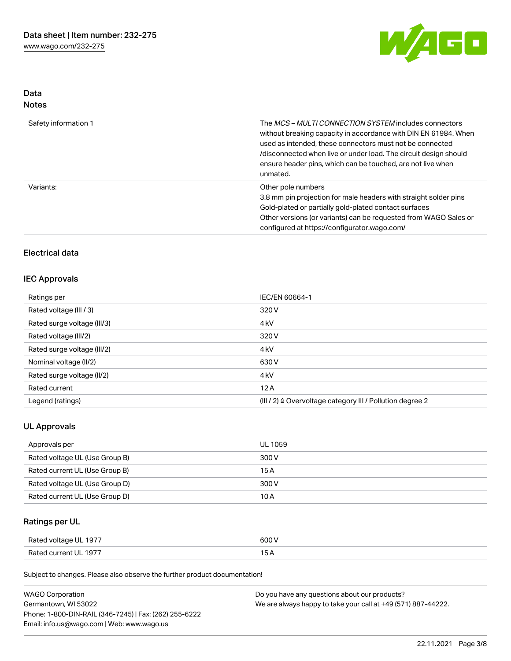

## Data Notes

| Safety information 1 | The <i>MCS – MULTI CONNECTION SYSTEM</i> includes connectors<br>without breaking capacity in accordance with DIN EN 61984. When<br>used as intended, these connectors must not be connected<br>/disconnected when live or under load. The circuit design should<br>ensure header pins, which can be touched, are not live when<br>unmated. |
|----------------------|--------------------------------------------------------------------------------------------------------------------------------------------------------------------------------------------------------------------------------------------------------------------------------------------------------------------------------------------|
| Variants:            | Other pole numbers<br>3.8 mm pin projection for male headers with straight solder pins<br>Gold-plated or partially gold-plated contact surfaces<br>Other versions (or variants) can be requested from WAGO Sales or<br>configured at https://configurator.wago.com/                                                                        |

## Electrical data

#### IEC Approvals

| Ratings per                 | IEC/EN 60664-1                                                       |
|-----------------------------|----------------------------------------------------------------------|
| Rated voltage (III / 3)     | 320 V                                                                |
| Rated surge voltage (III/3) | 4 <sub>k</sub> V                                                     |
| Rated voltage (III/2)       | 320 V                                                                |
| Rated surge voltage (III/2) | 4 <sub>k</sub> V                                                     |
| Nominal voltage (II/2)      | 630 V                                                                |
| Rated surge voltage (II/2)  | 4 <sub>k</sub> V                                                     |
| Rated current               | 12A                                                                  |
| Legend (ratings)            | (III / 2) $\triangleq$ Overvoltage category III / Pollution degree 2 |

## UL Approvals

| Approvals per                  | <b>UL 1059</b> |
|--------------------------------|----------------|
| Rated voltage UL (Use Group B) | 300 V          |
| Rated current UL (Use Group B) | 15 A           |
| Rated voltage UL (Use Group D) | 300 V          |
| Rated current UL (Use Group D) | 10 A           |

# Ratings per UL

| Rated voltage UL 1977 | 600 V |
|-----------------------|-------|
| Rated current UL 1977 |       |

Subject to changes. Please also observe the further product documentation!

| <b>WAGO Corporation</b>                                | Do you have any questions about our products?                 |
|--------------------------------------------------------|---------------------------------------------------------------|
| Germantown, WI 53022                                   | We are always happy to take your call at +49 (571) 887-44222. |
| Phone: 1-800-DIN-RAIL (346-7245)   Fax: (262) 255-6222 |                                                               |
| Email: info.us@wago.com   Web: www.wago.us             |                                                               |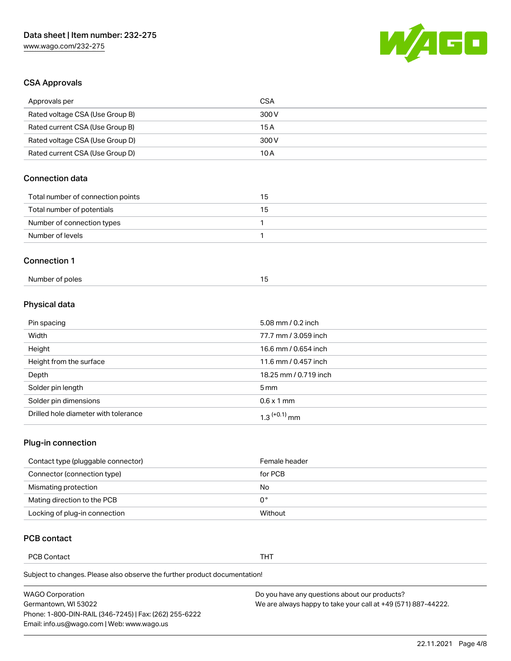

## CSA Approvals

| Approvals per                     | <b>CSA</b> |
|-----------------------------------|------------|
| Rated voltage CSA (Use Group B)   | 300 V      |
| Rated current CSA (Use Group B)   | 15A        |
| Rated voltage CSA (Use Group D)   | 300 V      |
| Rated current CSA (Use Group D)   | 10A        |
| <b>Connection data</b>            |            |
|                                   |            |
| Total number of connection points | 15         |
| Total number of potentials        | 15         |
| Number of connection types        | 1          |
| Number of levels                  |            |
| <b>Connection 1</b>               |            |

# Physical data

| Pin spacing                          | 5.08 mm / 0.2 inch       |
|--------------------------------------|--------------------------|
| Width                                | 77.7 mm / 3.059 inch     |
| Height                               | 16.6 mm / 0.654 inch     |
| Height from the surface              | 11.6 mm / 0.457 inch     |
| Depth                                | 18.25 mm / 0.719 inch    |
| Solder pin length                    | $5 \,\mathrm{mm}$        |
| Solder pin dimensions                | $0.6 \times 1$ mm        |
| Drilled hole diameter with tolerance | 1.3 <sup>(+0.1)</sup> mm |

# Plug-in connection

| Contact type (pluggable connector) | Female header |
|------------------------------------|---------------|
| Connector (connection type)        | for PCB       |
| Mismating protection               | No            |
| Mating direction to the PCB        | 0°            |
| Locking of plug-in connection      | Without       |

## PCB contact

PCB Contact **THT** 

Subject to changes. Please also observe the further product documentation!

| <b>WAGO Corporation</b>                                | Do you have any questions about our products?                 |
|--------------------------------------------------------|---------------------------------------------------------------|
| Germantown, WI 53022                                   | We are always happy to take your call at +49 (571) 887-44222. |
| Phone: 1-800-DIN-RAIL (346-7245)   Fax: (262) 255-6222 |                                                               |
| Email: info.us@wago.com   Web: www.wago.us             |                                                               |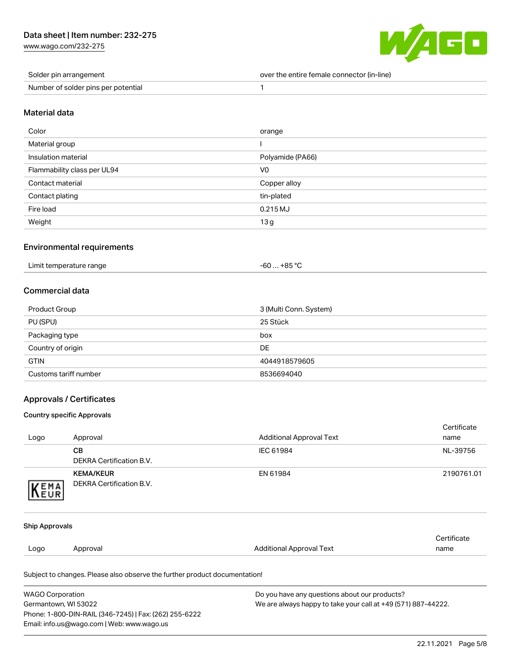[www.wago.com/232-275](http://www.wago.com/232-275)



| Solder pin arrangement              | over the entire female connector (in-line) |
|-------------------------------------|--------------------------------------------|
| Number of solder pins per potential |                                            |

#### Material data

| Color                       | orange           |
|-----------------------------|------------------|
| Material group              |                  |
| Insulation material         | Polyamide (PA66) |
| Flammability class per UL94 | V0               |
| Contact material            | Copper alloy     |
| Contact plating             | tin-plated       |
| Fire load                   | 0.215 MJ         |
| Weight                      | 13 <sub>g</sub>  |

#### Environmental requirements

| $-60+85 °C$<br>Limit temperature range |  |
|----------------------------------------|--|
|----------------------------------------|--|

## Commercial data

| Product Group         | 3 (Multi Conn. System) |
|-----------------------|------------------------|
| PU (SPU)              | 25 Stück               |
| Packaging type        | box                    |
| Country of origin     | DE                     |
| <b>GTIN</b>           | 4044918579605          |
| Customs tariff number | 8536694040             |

### Approvals / Certificates

#### Country specific Approvals

|                       | <b>WAGO Corporation</b><br>Do you have any questions about our products?   |                                 |                     |
|-----------------------|----------------------------------------------------------------------------|---------------------------------|---------------------|
|                       | Subject to changes. Please also observe the further product documentation! |                                 |                     |
| Logo                  | Approval                                                                   | <b>Additional Approval Text</b> | Certificate<br>name |
| <b>Ship Approvals</b> |                                                                            |                                 |                     |
| KEMA                  |                                                                            |                                 |                     |
|                       | <b>KEMA/KEUR</b><br><b>DEKRA Certification B.V.</b>                        | EN 61984                        | 2190761.01          |
|                       | <b>DEKRA Certification B.V.</b>                                            |                                 |                     |
|                       | <b>CB</b>                                                                  | IEC 61984                       | NL-39756            |
| Logo                  | Approval                                                                   | <b>Additional Approval Text</b> | Certificate<br>name |

Germantown, WI 53022 Phone: 1-800-DIN-RAIL (346-7245) | Fax: (262) 255-6222 Email: info.us@wago.com | Web: www.wago.us

We are always happy to take your call at +49 (571) 887-44222.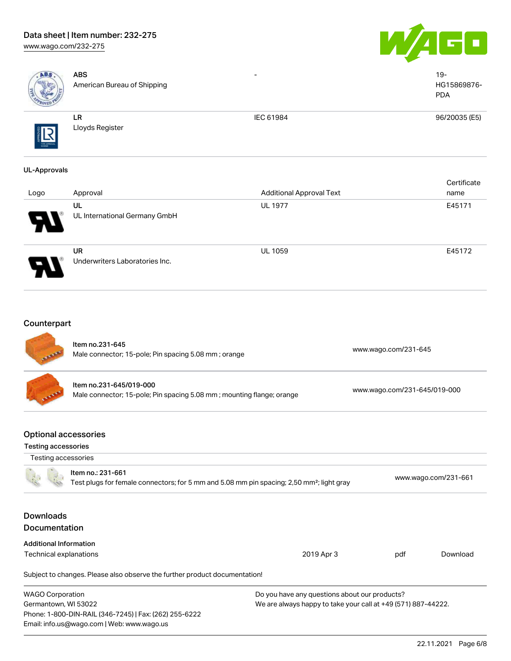# Data sheet | Item number: 232-275

Email: info.us@wago.com | Web: www.wago.us

[www.wago.com/232-275](http://www.wago.com/232-275)





| ABS                                                | <b>ABS</b><br>American Bureau of Shipping                                                                                  |                                                                                                                |                              | $19 -$<br>HG15869876-<br><b>PDA</b> |
|----------------------------------------------------|----------------------------------------------------------------------------------------------------------------------------|----------------------------------------------------------------------------------------------------------------|------------------------------|-------------------------------------|
|                                                    | ${\sf LR}$<br>Lloyds Register                                                                                              | IEC 61984                                                                                                      |                              | 96/20035 (E5)                       |
| <b>UL-Approvals</b>                                |                                                                                                                            |                                                                                                                |                              | Certificate                         |
| Logo                                               | Approval                                                                                                                   | <b>Additional Approval Text</b>                                                                                |                              | name                                |
|                                                    | UL<br>UL International Germany GmbH                                                                                        | <b>UL 1977</b>                                                                                                 |                              | E45171                              |
|                                                    | <b>UR</b><br>Underwriters Laboratories Inc.                                                                                | <b>UL 1059</b>                                                                                                 |                              | E45172                              |
| Counterpart                                        | Item no.231-645<br>Male connector; 15-pole; Pin spacing 5.08 mm; orange                                                    |                                                                                                                | www.wago.com/231-645         |                                     |
|                                                    | Item no.231-645/019-000<br>Male connector; 15-pole; Pin spacing 5.08 mm; mounting flange; orange                           |                                                                                                                | www.wago.com/231-645/019-000 |                                     |
| <b>Optional accessories</b><br>Testing accessories |                                                                                                                            |                                                                                                                |                              |                                     |
| Testing accessories                                |                                                                                                                            |                                                                                                                |                              |                                     |
|                                                    | Item no.: 231-661<br>Test plugs for female connectors; for 5 mm and 5.08 mm pin spacing; 2,50 mm <sup>2</sup> ; light gray |                                                                                                                |                              | www.wago.com/231-661                |
| <b>Downloads</b><br>Documentation                  |                                                                                                                            |                                                                                                                |                              |                                     |
| <b>Additional Information</b>                      |                                                                                                                            |                                                                                                                |                              |                                     |
| Technical explanations                             | Subject to changes. Please also observe the further product documentation!                                                 | 2019 Apr 3                                                                                                     | pdf                          | Download                            |
|                                                    |                                                                                                                            |                                                                                                                |                              |                                     |
| <b>WAGO Corporation</b><br>Germantown, WI 53022    | Phone: 1-800-DIN-RAIL (346-7245)   Fax: (262) 255-6222                                                                     | Do you have any questions about our products?<br>We are always happy to take your call at +49 (571) 887-44222. |                              |                                     |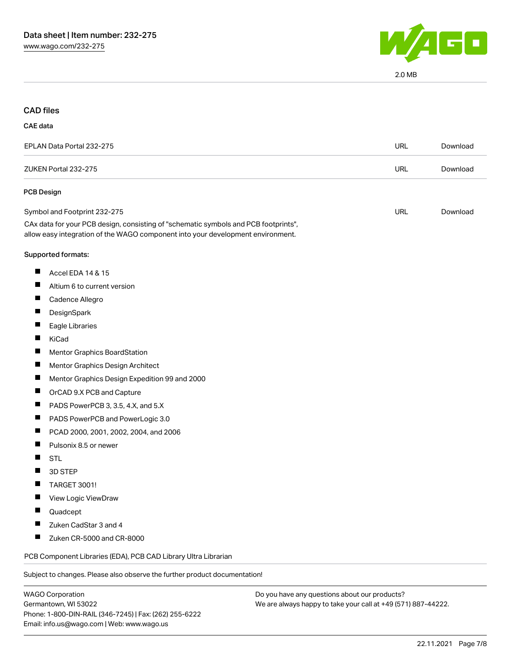

2.0 MB

#### CAD files

#### CAE data

| EPLAN Data Portal 232-275                                                                                                                                              | URL | Download |
|------------------------------------------------------------------------------------------------------------------------------------------------------------------------|-----|----------|
| ZUKEN Portal 232-275                                                                                                                                                   | URL | Download |
| <b>PCB Design</b>                                                                                                                                                      |     |          |
| Symbol and Footprint 232-275                                                                                                                                           | URL | Download |
| CAx data for your PCB design, consisting of "schematic symbols and PCB footprints",<br>allow easy integration of the WAGO component into your development environment. |     |          |
| $\sim$ $\sim$ $\sim$ $\sim$ $\sim$                                                                                                                                     |     |          |

#### Supported formats:

- $\blacksquare$ Accel EDA 14 & 15
- $\blacksquare$ Altium 6 to current version
- $\blacksquare$ Cadence Allegro
- $\blacksquare$ **DesignSpark**
- $\blacksquare$ Eagle Libraries
- $\blacksquare$ KiCad
- $\blacksquare$ Mentor Graphics BoardStation
- $\blacksquare$ Mentor Graphics Design Architect
- $\blacksquare$ Mentor Graphics Design Expedition 99 and 2000
- $\blacksquare$ OrCAD 9.X PCB and Capture
- $\blacksquare$ PADS PowerPCB 3, 3.5, 4.X, and 5.X
- $\blacksquare$ PADS PowerPCB and PowerLogic 3.0
- $\blacksquare$ PCAD 2000, 2001, 2002, 2004, and 2006
- $\blacksquare$ Pulsonix 8.5 or newer
- П **STL**
- $\blacksquare$ 3D STEP
- TARGET 3001!  $\blacksquare$
- $\blacksquare$ View Logic ViewDraw
- $\blacksquare$ Quadcept
- $\blacksquare$ Zuken CadStar 3 and 4
- $\blacksquare$ Zuken CR-5000 and CR-8000

PCB Component Libraries (EDA), PCB CAD Library Ultra Librarian

Subject to changes. Please also observe the further product documentation!